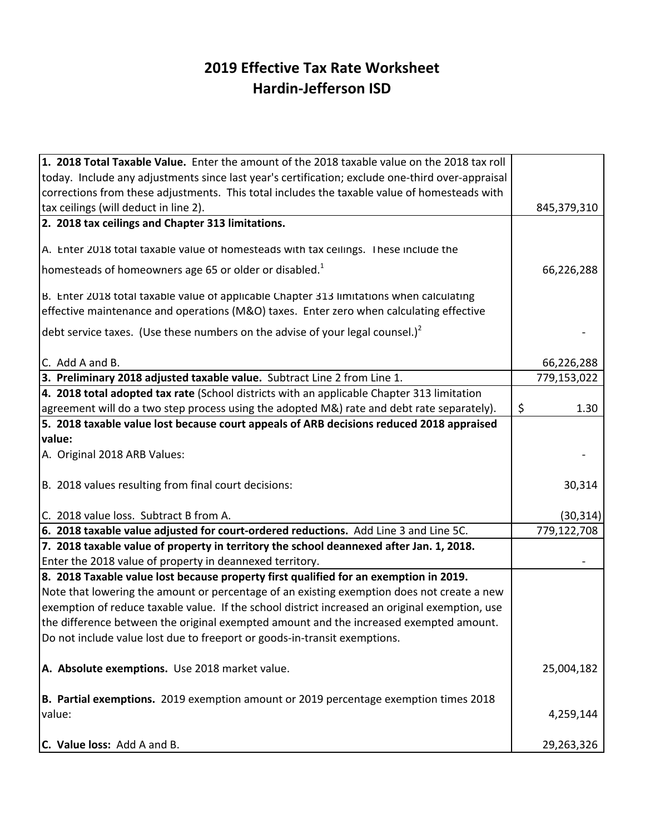## **2019 Effective Tax Rate Worksheet Hardin-Jefferson ISD**

| 1. 2018 Total Taxable Value. Enter the amount of the 2018 taxable value on the 2018 tax roll     |             |
|--------------------------------------------------------------------------------------------------|-------------|
| today. Include any adjustments since last year's certification; exclude one-third over-appraisal |             |
| corrections from these adjustments. This total includes the taxable value of homesteads with     |             |
| tax ceilings (will deduct in line 2).                                                            | 845,379,310 |
| 2. 2018 tax ceilings and Chapter 313 limitations.                                                |             |
|                                                                                                  |             |
| A. Enter 2018 total taxable value of homesteads with tax ceilings. These include the             |             |
| homesteads of homeowners age 65 or older or disabled. <sup>1</sup>                               | 66,226,288  |
| B. Enter 2018 total taxable value of applicable Chapter 313 limitations when calculating         |             |
| effective maintenance and operations (M&O) taxes. Enter zero when calculating effective          |             |
| debt service taxes. (Use these numbers on the advise of your legal counsel.) <sup>2</sup>        |             |
| C. Add A and B.                                                                                  | 66,226,288  |
| 3. Preliminary 2018 adjusted taxable value. Subtract Line 2 from Line 1.                         | 779,153,022 |
| 4. 2018 total adopted tax rate (School districts with an applicable Chapter 313 limitation       |             |
| agreement will do a two step process using the adopted M&) rate and debt rate separately).       | \$<br>1.30  |
| 5. 2018 taxable value lost because court appeals of ARB decisions reduced 2018 appraised         |             |
| value:                                                                                           |             |
| A. Original 2018 ARB Values:                                                                     |             |
| B. 2018 values resulting from final court decisions:                                             | 30,314      |
| C. 2018 value loss. Subtract B from A.                                                           | (30, 314)   |
| 6. 2018 taxable value adjusted for court-ordered reductions. Add Line 3 and Line 5C.             | 779,122,708 |
| 7. 2018 taxable value of property in territory the school deannexed after Jan. 1, 2018.          |             |
| Enter the 2018 value of property in deannexed territory.                                         |             |
| 8. 2018 Taxable value lost because property first qualified for an exemption in 2019.            |             |
| Note that lowering the amount or percentage of an existing exemption does not create a new       |             |
| exemption of reduce taxable value. If the school district increased an original exemption, use   |             |
| the difference between the original exempted amount and the increased exempted amount.           |             |
| Do not include value lost due to freeport or goods-in-transit exemptions.                        |             |
| A. Absolute exemptions. Use 2018 market value.                                                   | 25,004,182  |
| B. Partial exemptions. 2019 exemption amount or 2019 percentage exemption times 2018             |             |
| value:                                                                                           | 4,259,144   |
| C. Value loss: Add A and B.                                                                      | 29,263,326  |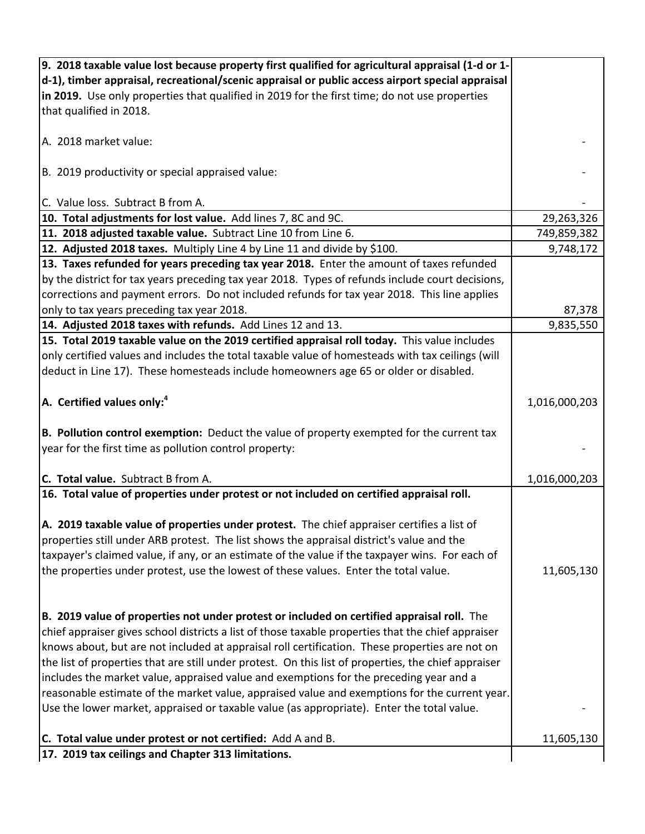| 9. 2018 taxable value lost because property first qualified for agricultural appraisal (1-d or 1-    |               |
|------------------------------------------------------------------------------------------------------|---------------|
| d-1), timber appraisal, recreational/scenic appraisal or public access airport special appraisal     |               |
| in 2019. Use only properties that qualified in 2019 for the first time; do not use properties        |               |
| that qualified in 2018.                                                                              |               |
|                                                                                                      |               |
| A. 2018 market value:                                                                                |               |
|                                                                                                      |               |
| B. 2019 productivity or special appraised value:                                                     |               |
|                                                                                                      |               |
| C. Value loss. Subtract B from A.                                                                    |               |
| 10. Total adjustments for lost value. Add lines 7, 8C and 9C.                                        | 29,263,326    |
|                                                                                                      |               |
| 11. 2018 adjusted taxable value. Subtract Line 10 from Line 6.                                       | 749,859,382   |
| 12. Adjusted 2018 taxes. Multiply Line 4 by Line 11 and divide by \$100.                             | 9,748,172     |
| 13. Taxes refunded for years preceding tax year 2018. Enter the amount of taxes refunded             |               |
| by the district for tax years preceding tax year 2018. Types of refunds include court decisions,     |               |
| corrections and payment errors. Do not included refunds for tax year 2018. This line applies         |               |
| only to tax years preceding tax year 2018.                                                           | 87,378        |
| 14. Adjusted 2018 taxes with refunds. Add Lines 12 and 13.                                           | 9,835,550     |
| 15. Total 2019 taxable value on the 2019 certified appraisal roll today. This value includes         |               |
| only certified values and includes the total taxable value of homesteads with tax ceilings (will     |               |
| deduct in Line 17). These homesteads include homeowners age 65 or older or disabled.                 |               |
|                                                                                                      |               |
| $ A$ . Certified values only: <sup>4</sup>                                                           | 1,016,000,203 |
|                                                                                                      |               |
| B. Pollution control exemption: Deduct the value of property exempted for the current tax            |               |
| year for the first time as pollution control property:                                               |               |
|                                                                                                      |               |
| C. Total value. Subtract B from A.                                                                   | 1,016,000,203 |
| 16. Total value of properties under protest or not included on certified appraisal roll.             |               |
|                                                                                                      |               |
| A. 2019 taxable value of properties under protest. The chief appraiser certifies a list of           |               |
|                                                                                                      |               |
| properties still under ARB protest. The list shows the appraisal district's value and the            |               |
| taxpayer's claimed value, if any, or an estimate of the value if the taxpayer wins. For each of      |               |
| the properties under protest, use the lowest of these values. Enter the total value.                 | 11,605,130    |
|                                                                                                      |               |
|                                                                                                      |               |
| B. 2019 value of properties not under protest or included on certified appraisal roll. The           |               |
| chief appraiser gives school districts a list of those taxable properties that the chief appraiser   |               |
| knows about, but are not included at appraisal roll certification. These properties are not on       |               |
| the list of properties that are still under protest. On this list of properties, the chief appraiser |               |
| includes the market value, appraised value and exemptions for the preceding year and a               |               |
| reasonable estimate of the market value, appraised value and exemptions for the current year.        |               |
| Use the lower market, appraised or taxable value (as appropriate). Enter the total value.            |               |
|                                                                                                      |               |
| C. Total value under protest or not certified: Add A and B.                                          | 11,605,130    |
| 17. 2019 tax ceilings and Chapter 313 limitations.                                                   |               |
|                                                                                                      |               |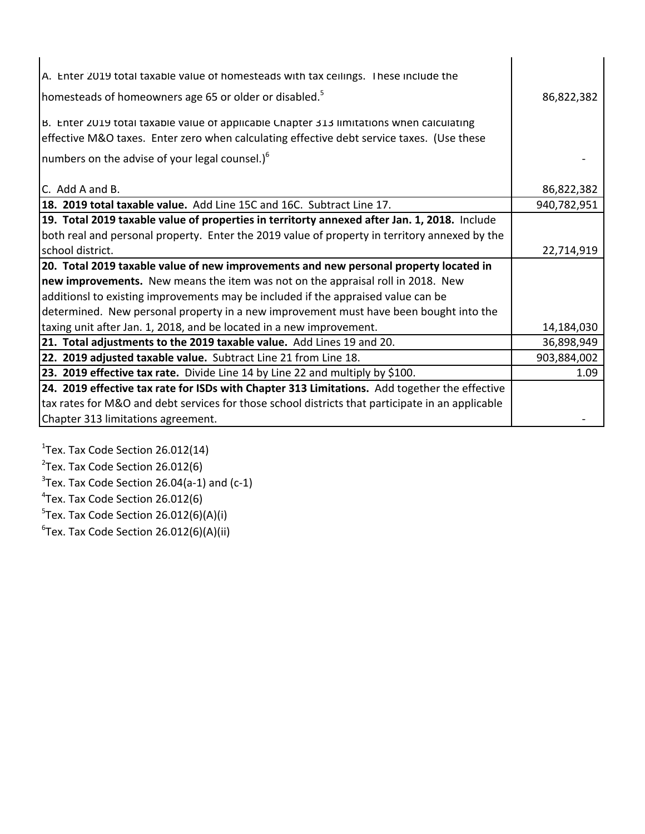| A. Enter 2019 total taxable value of homesteads with tax ceilings. These include the             |             |
|--------------------------------------------------------------------------------------------------|-------------|
| homesteads of homeowners age 65 or older or disabled. <sup>5</sup>                               | 86,822,382  |
|                                                                                                  |             |
| B. Enter 2019 total taxable value of applicable Chapter 313 limitations when calculating         |             |
| effective M&O taxes. Enter zero when calculating effective debt service taxes. (Use these        |             |
| numbers on the advise of your legal counsel.) $6$                                                |             |
|                                                                                                  |             |
| C. Add A and B.                                                                                  | 86,822,382  |
| 18. 2019 total taxable value. Add Line 15C and 16C. Subtract Line 17.                            | 940,782,951 |
| 19. Total 2019 taxable value of properties in territorty annexed after Jan. 1, 2018. Include     |             |
| both real and personal property. Enter the 2019 value of property in territory annexed by the    |             |
| school district.                                                                                 | 22,714,919  |
| 20. Total 2019 taxable value of new improvements and new personal property located in            |             |
| new improvements. New means the item was not on the appraisal roll in 2018. New                  |             |
| additionsl to existing improvements may be included if the appraised value can be                |             |
| determined. New personal property in a new improvement must have been bought into the            |             |
| taxing unit after Jan. 1, 2018, and be located in a new improvement.                             | 14,184,030  |
| 21. Total adjustments to the 2019 taxable value. Add Lines 19 and 20.                            | 36,898,949  |
| 22. 2019 adjusted taxable value. Subtract Line 21 from Line 18.                                  | 903,884,002 |
| 23. 2019 effective tax rate. Divide Line 14 by Line 22 and multiply by \$100.                    | 1.09        |
| 24. 2019 effective tax rate for ISDs with Chapter 313 Limitations. Add together the effective    |             |
| tax rates for M&O and debt services for those school districts that participate in an applicable |             |
| Chapter 313 limitations agreement.                                                               |             |

 $1$ Tex. Tax Code Section 26.012(14)  $2$ Tex. Tax Code Section 26.012(6)

 $3$ Tex. Tax Code Section 26.04(a-1) and (c-1)

<sup>4</sup>Tex. Tax Code Section 26.012(6)

 $5$ Tex. Tax Code Section 26.012(6)(A)(i)

 ${}^{6}$ Tex. Tax Code Section 26.012(6)(A)(ii)